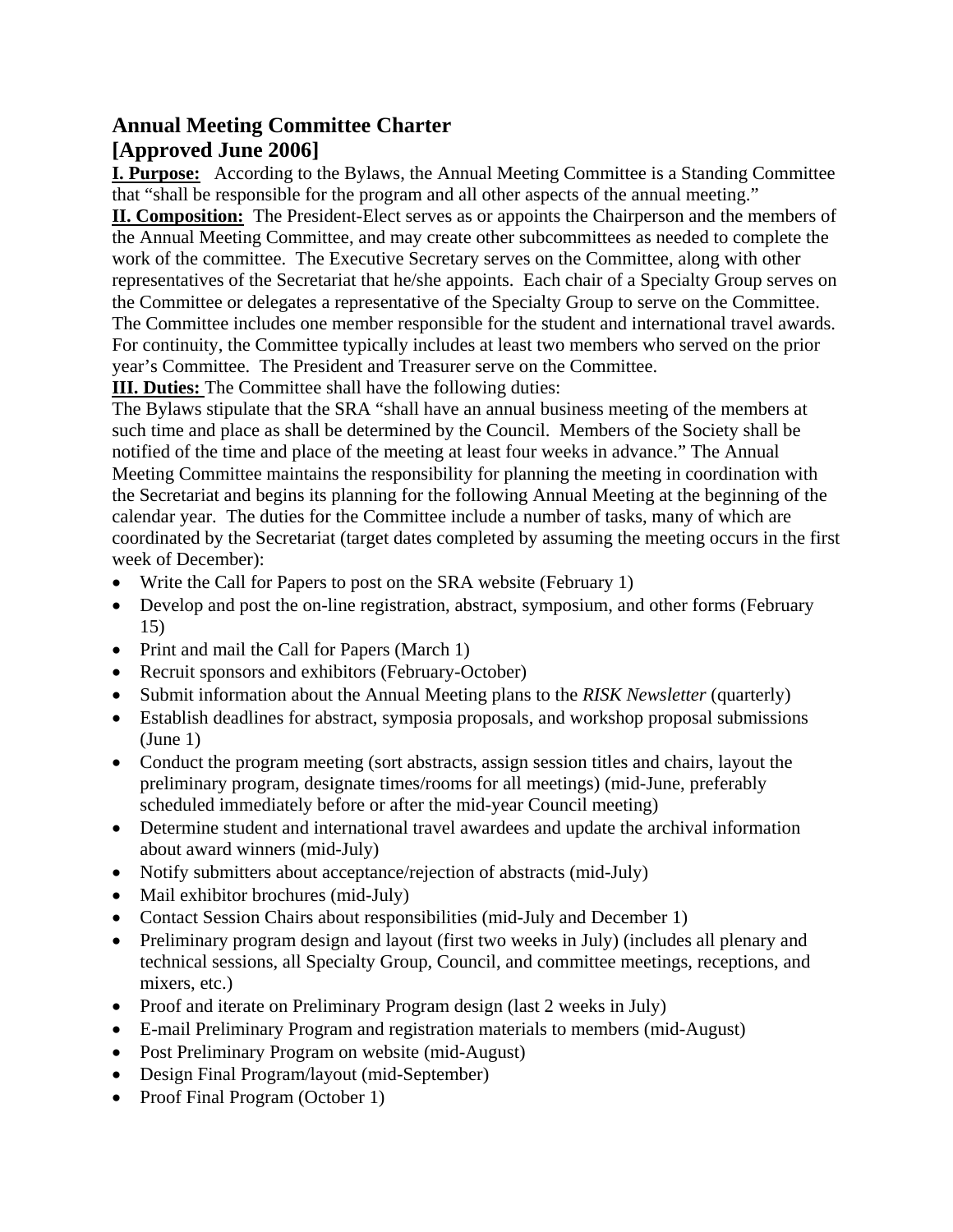## **Annual Meeting Committee Charter [Approved June 2006]**

**I. Purpose:** According to the Bylaws, the Annual Meeting Committee is a Standing Committee that "shall be responsible for the program and all other aspects of the annual meeting."

**II. Composition:** The President-Elect serves as or appoints the Chairperson and the members of the Annual Meeting Committee, and may create other subcommittees as needed to complete the work of the committee. The Executive Secretary serves on the Committee, along with other representatives of the Secretariat that he/she appoints. Each chair of a Specialty Group serves on the Committee or delegates a representative of the Specialty Group to serve on the Committee. The Committee includes one member responsible for the student and international travel awards. For continuity, the Committee typically includes at least two members who served on the prior year's Committee. The President and Treasurer serve on the Committee.

**III. Duties:** The Committee shall have the following duties:

The Bylaws stipulate that the SRA "shall have an annual business meeting of the members at such time and place as shall be determined by the Council. Members of the Society shall be notified of the time and place of the meeting at least four weeks in advance." The Annual Meeting Committee maintains the responsibility for planning the meeting in coordination with the Secretariat and begins its planning for the following Annual Meeting at the beginning of the calendar year. The duties for the Committee include a number of tasks, many of which are coordinated by the Secretariat (target dates completed by assuming the meeting occurs in the first week of December):

- Write the Call for Papers to post on the SRA website (February 1)
- Develop and post the on-line registration, abstract, symposium, and other forms (February 15)
- Print and mail the Call for Papers (March 1)
- Recruit sponsors and exhibitors (February-October)
- Submit information about the Annual Meeting plans to the *RISK Newsletter* (quarterly)
- Establish deadlines for abstract, symposia proposals, and workshop proposal submissions (June 1)
- Conduct the program meeting (sort abstracts, assign session titles and chairs, layout the preliminary program, designate times/rooms for all meetings) (mid-June, preferably scheduled immediately before or after the mid-year Council meeting)
- Determine student and international travel awardees and update the archival information about award winners (mid-July)
- Notify submitters about acceptance/rejection of abstracts (mid-July)
- Mail exhibitor brochures (mid-July)
- Contact Session Chairs about responsibilities (mid-July and December 1)
- Preliminary program design and layout (first two weeks in July) (includes all plenary and technical sessions, all Specialty Group, Council, and committee meetings, receptions, and mixers, etc.)
- Proof and iterate on Preliminary Program design (last 2 weeks in July)
- E-mail Preliminary Program and registration materials to members (mid-August)
- Post Preliminary Program on website (mid-August)
- Design Final Program/layout (mid-September)
- Proof Final Program (October 1)